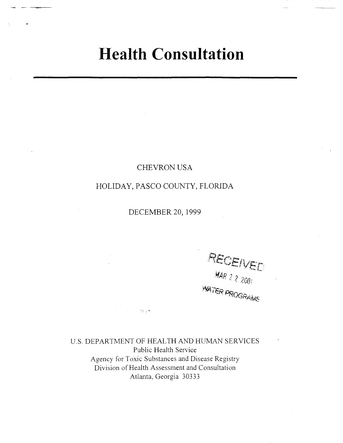# **Health Consultation**

# CHEVRON USA

# HOLIDAY, PASCO COUNTY, FLORIDA

DECEMBER 20,1999

RECEIVED MAR 2 2 2007 **WATER PROGRAMS** 

U.S. DEPARTMENT OF HEALTH AND HUMAN SERVICES Public Health Service Agency for Toxic Substances and Disease Registry Division of Health Assessment and Consultation Atlanta, Georgia 30333

 $25.5$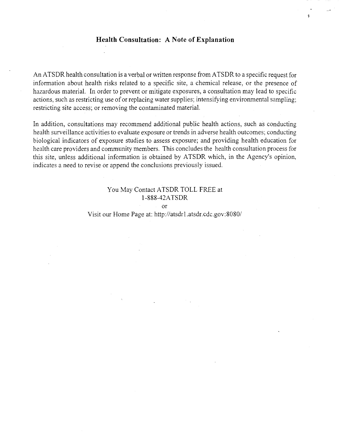### **Health Consultation: A Note of Explanation**

An ATSDR health consultation is a verbal or written response from ATSDR to a specific request for information about health risks related to a specific site, a chemical release, or the presence of hazardous material. In order to prevent or mitigate exposures, a consultation may lead to specific actions, such as restricting use of or replacing water supplies; intensifying environmental sampling; restricting site access; or removing the contaminated material.

In addition, consultations may recommend additional public health actions, such as conducting health surveillance activities to evaluate exposure or trends in adverse health outcomes; conducting biological indicators of exposure studies to assess exposure; and providing health education for health care providers and community members. This concludes the health consultation process for this site, unless additional information is obtained by ATSDR which, in the Agency's opinion, indicates a need to revise or append the conclusions previously issued.

### You May Contact ATSDR TOLL FREE at 1-888-42A TSDR

or

Visit our Home Page at: *http://atsdrl.atsdr.cdc.gov:8080/*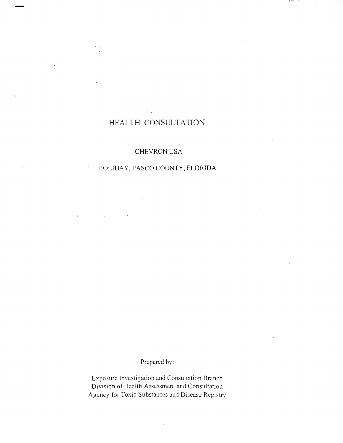# **HEALTH CONSULTATION**

# CHEVRON USA

## HOLIDAY, PASCO COUNTY, FLORIDA

Prepared by:

Exposure Investigation and Consultation Branch Division of Health Assessment and Consultation Agency for *Toxic* Substances and Disease Registry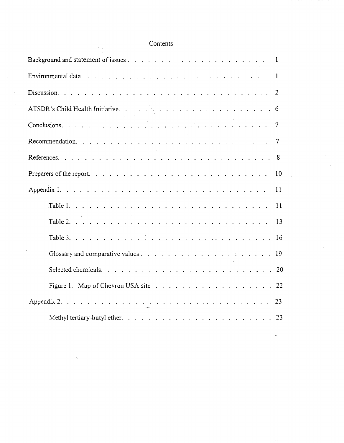# Contents

| 10            |  |
|---------------|--|
| 11            |  |
| <sup>11</sup> |  |
| -13           |  |
|               |  |
|               |  |
|               |  |
|               |  |
|               |  |
|               |  |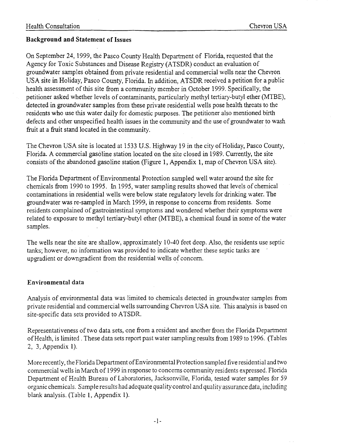### **Background and Statement of Issues**

On September 24, 1999, the Pasco County Health Department of Florida, requested that the Agency for Toxic Substances and Disease Registry (ATSDR) conduct an evaluation of groundwater samples obtained from private residential and commercial wells near the Chevron USA site in Holiday, Pasco County, Florida. In addition, ATSDR received a petition for a public health assessment of this site from a community member in October 1999. Specifically, the petitioner asked whether levels of contaminants, particularly methyl tertiary-butyl ether (MTBE), detected in groundwater samples from these private residential wells pose health threats to the residents who use this water daily for domestic purposes. The petitioner also mentioned birth defects and other unspecified health issues in the community and the use of groundwater to wash fruit at a fruit stand located in the community. .

The Chevron USA site is located at 1533 U.S. Highway 19 in the city of Holiday, Pasco County, Florida. A commercial gasoline station located on the site closed in 1989. Currently, the site consists of the abandoned gasoline station (Figure 1, Appendix 1, map of Chevron USA site).

The Florida Department of Environmental Protection sampled well water around the site for chemicals from 1990 to 1995. In 1995, water sampling results showed that levels of chemical contaminations in residential wells were below state regulatory levels for drinking water. The groundwater was re-sampled in March 1999, in response to concerns from residents. Some residents complained of gastrointestinal symptoms and wondered whether their symptoms were related to exposure to methyl tertiary-butyl ether (MTBE), a chemical found in some of the water samples.

The wells near the site are shallow, approximately 10-40 feet deep. Also, the residents use septic tanks; however, no infonnation was provided to indicate whether these septic tanks are upgradient or downgradient from the residential wells of concern.

### **Environmental data**

Analysis of environmental data was limited to chemicals detected in groundwater samples from private residential and commercial wells surrounding Chevron USA site. This analysis is based on site-specific data sets provided to ATSDR.

Representativeness of two data sets, one from a resident and another from the Florida Department of Health, is limited. These data sets report past water sampling results from 1989 to 1996. (Tables 2, 3, Appendix 1).

More recently, the Florida Department of Environmental Protection sampled five residential and two commercial wells in March of 1999 in response to concerns community residents expressed. Florida Department of Health Bureau of Laboratories, Jacksonville, Florida, tested water samples for 59 organic chemicals. Sample results had adequate quality control and quality assurance data, including blank analysis. (Table 1, Appendix 1).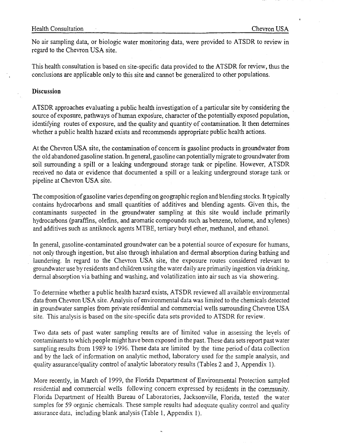No air sampling data, or biologic water monitoring data, were provided to ATSDR to review in regard to the Chevron USA site.

This health consultation is based on site-specific data provided to the ATSDR for review, thus the conclusions are applicable only to this site and cannot be generalized to other populations.

### **Discussion**

ATSDR approaches evaluating a public health investigation of a particular site by considering the source of exposure, pathways of human exposure, character of the potentially exposed population, identifying routes of exposure, and the quality and quantity of contamination. It then determines whether a public health hazard exists and recommends appropriate public health actions.

At the Chevron USA site, the contamination of concern is gasoline products in groundwater from the old abandoned gasoline station. In general, gasoline can potentially migrate to groundwater from soil surrounding a spill or a leaking underground storage tank or pipeline. However, ATSDR received no data or evidence that documented a spill or a leaking underground storage tank or pipeline at Chevron USA site.

The composition of gasoline varies depending on geographic region and blending stocks. It typically contains hydrocarbons and small quantities of additives and blending agents. Given this, the contaminants suspected in the groundwater sampling at this site would include primarily hydrocarbons (paraffins, olefins, and aromatic compounds such as benzene, toluene, and xylenes) and additives such as antiknock agents MTBE, tertiary butyl ether, methanol, and ethanol.

In general, gasoline-contaminated groundwater can be a potential source of exposure for humans, not only through ingestion, but also through inhalation and dermal absorption during bathing and laundering. In regard to the Chevron USA site, the exposure routes considered relevant to groundwater use by residents and children using the water daily are primarily ingestion via drinking, dermal absorption via bathing and washing, and volatilization into air such as via showering.

To determine whether a public health hazard exists, A TSDR reviewed all available environmental data from Chevron USA site. Analysis of environmental data was limited to the chemicals detected in groundwater samples from private residential and commercial wells surrounding Chevron USA site. This analysis is based on the site-specific data sets provided to ATSDR for review.

Two data sets of past water sampling results are of limited value in assessing the levels of contaminants to which people might have been exposed in the past. These data sets report past water sampling results from 1989 to 1996. These data are limited by the time period of data collection and by the lack of information on analytic method, laboratory used for the sample analysis, and quality assurance/quality control of analytic laboratory results (Tables 2 and 3, Appendix 1).

More recently, in March of 1999, the Florida Department of Environmental Protection sampled residential and commercial wells following concern expressed by residents in the community. Florida Department of Health Bureau of Laboratories, Jacksonville, Florida, tested the water samples for 59 organic chemicals. These sample results had adequate quality control and quality assurance data, including blank analysis (Table 1, Appendix 1).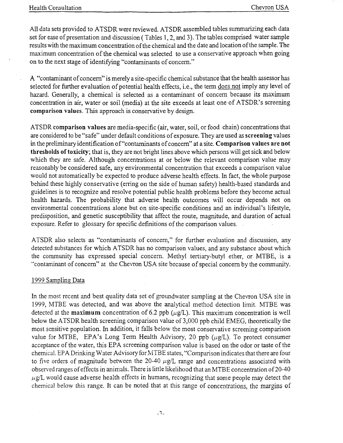All data sets provided to ATSDR were reviewed. ATSDR assembled tables summarizing each data set for ease of presentation and discussion (Tables 1,2, and 3). The tables comprised water sample results with the maximum concentration of the chemical and the date and location of the sample. The maximum concentration of the chemical was selected to use a conservative approach when going on to the next stage of identifying "contaminants of concern."

A "contaminant of concern" is merely a site-specific chemical substance that the health assessor has selected for further evaluation of potential health effects, i.e., the term does not imply any level of hazard. Generally, a chemical is selected as a contaminant of concern because its maximum concentration in air, water or soil (media) at the site exceeds at least one of ATSDR's screening **comparison** values. This approach is conservative by design.

ATSDR **comparison values** are media-specific (air, water, soil, or food chain) concentrations that are considered to be "safe" under default conditions of exposure. They are used as **screening** values in the preliminary identification of "contaminants of concern" at a site. **Comparison values are not thresholds** oftoxicity; that is, they are not bright lines above which persons will get sick and below which they are safe. Although concentrations at or below the relevant comparison value may reasonably be considered safe, any environmental concentration that exceeds a comparison value would not automatically be expected to produce adverse health effects. In fact, the whole purpose behind these highly conservative (erring on the side of human safety) health-based standards and guidelines is to recognize and resolve potential public health problems before they become actual health hazards. The probability that adverse health outcomes will occur depends not on environmental concentrations alone but on site-specific conditions and an individual's lifestyle, predisposition, and genetic susceptibility that affect the route, magnitude, and duration of actual exposure. Refer to glossary for specific definitions of the comparison values.

ATSDR also selects as "contaminants of concern," for further evaluation and discussion, any detected substances for which ATSDR has no comparison values, and any substance about which the community has expressed special concern. Methyl tertiary-butyl ether, or MTBE, is a "contaminant of concern" at the Chevron USA site because of special concern by the community.

### 1999 Sampling Data

In the most recent and best quality data set of groundwater sampling at the Chevron USA site in 1999, MTBE was detected, and was above the analytical method detection limit. MTBE was detected at the **maximum** concentration of 6.2 ppb  $(\mu \varrho/L)$ . This maximum concentration is well below the ATSDR health screening comparison value of 3,000 ppb child EMEG, theoretically the most sensitive population. In addition, it falls below the most conservative screening comparison value for MTBE, EPA's Long Term Health Advisory, 20 ppb  $(\mu g/L)$ . To protect consumer acceptance of the water, this EPA screening comparison value is based on the odor or taste of the chemical. EPA Drinking Water Advisory for MTBE states, "Comparison indicates that there are four to five orders of magnitude between the 20-40  $\mu$ g/L range and concentrations associated with observed ranges of effects in animals. There is little likelihood that an MTBE concentration of20-40  $\mu$ g/L would cause adverse health effects in humans, recognizing that some people may detect the chemical below this range. It can be noted that at this range of concentrations, the margins of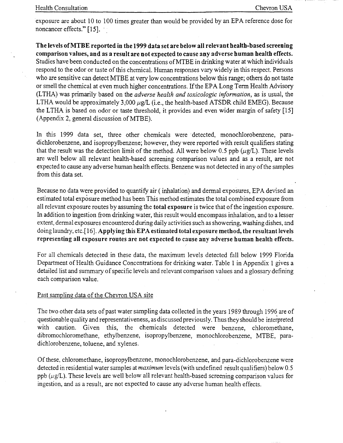exposure are about 10 to 100 times greater than would be provided by an EPA reference dose for noncancer effects." [15].

The levels ofMTBE reported in the 1999 data set are below all relevant health-based screening comparison values, and as a result are not expected to cause any adverse human health effects. Studies have been conducted on the concentrations ofMTBE in drinking water at which individuals respond to the odor or taste of this chemical. Human responses vary widely in this respect. Persons who are sensitive can detect MTBE at very low concentrations below this range; others do not taste or smell the chemical at even much higher concentrations. If the EPA Long Term Health Advisory (LTRA) was primarily based on the *adverse 'health and toxicologic information,* as is usual, the LTHA would be approximately 3,000  $\mu$ g/L (i.e., the health-based ATSDR child EMEG). Because the LTRA is based on odor or taste threshold, it provides and even wider margin of safety [15] (Appendix 2, general discussion of MTBE).

In this 1999 data set, three other chemicals were detected, monochlorobenzene, paradichlorobenzene, and isopropylbenzene; however, they were reported with result qualifiers stating that the result was the detection limit of the method. All were below 0.5 ppb  $(\mu \varrho/L)$ . These levels are well below all relevant health-based screening comparison values and as a result, are not expected to cause any adverse human health effects. Benzene was not detected in any of the samples from this data set.

Because no data were provided to quantify air ( inhalation) and dermal exposures, EPA devised an estimated total exposure method has been This method estimates the total combined exposure from all relevant exposure routes by assuming the total exposure is twice that of the ingestion exposure. In addition to ingestion from drinking water, this result would encompass inhalation, and to a lesser extent, dermal exposures encountered during daily activities such as showering, washing dishes, and doing laundry, etc.[ 16]. Applying this EPA estimated total exposure method, the resultant levels representing all exposure routes are not expected to cause any adverse human health effects.

For all chemicals detected in these data, the maximum levels detected fall below 1999 Florida Department of Health Guidance Concentrations for drinking water. Table 1 in Appendix 1 gives a detailed list and summary of specific levels and relevant comparison values and a glossary defining each comparison value.

### Past sampling data of the Chevron USA site

The two other data sets of past water sampling data collected in the years 1989 through 1996 are of questionable quality and representativeness, as discussed previously. Thus they should be interpreted with caution. Given this, the chemicals detected were benzene, chloromethane, dibromochloromethane, ethylbenzene, isopropylbenzene, monochlorobenzene, MTBE, paradichlorobenzene, toluene, and xylenes.

Of these, chloromethane, isopropylbenzene, monochlorobenzene, and para-dichlorobenzene were detected in residential water samples at *maximum* levels (with undefined result qualifiers) below 0.5 ppb  $(\mu g/L)$ . These levels are well below all relevant health-based screening comparison values for ingestion, and as a result, are not expected to cause any adverse human health effects.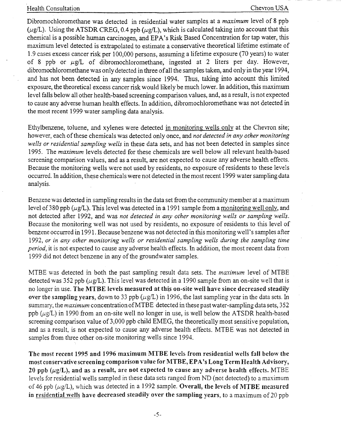Dibromochloromethane was detected in residential water samples at a *maximum* level of 8 ppb ( $\mu$ g/L). Using the ATSDR CREG, 0.4 ppb ( $\mu$ g/L), which is calculated taking into account that this chemical is a possible human carcinogen, and EPA's Risk Based Concentration for tap water, this maximum level detected is extrapolated to estimate a conservative theoretical lifetime estimate of 1.9 cases excess cancer risk per 100,000 persons, assuming a lifetime exposure (70 years) to water of 8 ppb or  $\mu g/L$  of dibromochloromethane, ingested at 2 liters per day. However, dibromochloromethane was only detected in three of all the samples taken, and only in the year 1994, and has not been detected in any samples since 1994. Thus, taking into account this limited exposure, the theoretical excess cancer risk would likely be much lower. In addition, this maximum level falls below all other health-based screening comparison values, and, as a result, is not expected to cause any adverse human health effects. In addition, dibromochloromethane was not detected in the most recent 1999 water sampling data analysis.

Ethylbenzene, toluene, and xylenes were detected in monitoring wells only at the Chevron site; however, each of these chemicals was detected only once, and *not detected in any other monitoring wells or residential sampling wells* in these data sets, and has not been detected in samples since 1995. The *maximum* levels detected for these chemicals are well below all relevant health-based screening comparison values, and as a result, are not expected to cause any adverse health effects. Because the monitoring wells were not used by residents, no exposure of residents to these levels occurred. In addition, these chemicals were not detected in the most recent 1999 water sampling data analysis.

Benzene was detected in sampling results in the data set from the community member at a maximum level of 380 ppb ( $\mu$ g/L). This level was detected in a 1991 sample from a monitoring well only, and not detected after 1992, and was *not detected in any other monitoring wells or sampling wells.*  Because the monitoring well was not used by residents, no exposure of residents to this level of benzene occurred in 1991. Because benzene was not detected in this monitoring well's samples after *1992, or in any other monitoring wells or residential sampling wells during the sampling time period,* it is not expected to cause any adverse health effects. In addition, the most recent data from 1999 did not detect benzene in any of the groundwater samples.

MTBE was detected in both the past sampling result data sets. The *maximum* level of MTBE detected was 352 ppb ( $\mu$ g/L). This level was detected in a 1990 sample from an on-site well that is no longer in use. The MTBE levels measured at this on-site well have since decreased steadily over the sampling years, down to 33 ppb ( $\mu$ g/L) in 1996, the last sampling year in the data sets. In summary, the *maximum* concentration ofMTBE detected in these past water-sampling data sets, 352 ppb ( $\mu$ g/L) in 1990 from an on-site well no longer in use, is well below the ATSDR health-based screening comparison value of 3,000 ppb child EMEG, the theoretically most sensitive popuiation, and as a result, is not expected to cause any adverse health effects. MTBE was not detected in samples from three other on-site monitoring wells since 1994.

The most recent 1995 and 1996 maximum MTBE levels from residential wells fall below the most conservative screening comparison value for MTBE, EPA's Long Term Health Advisory, 20 ppb  $(\mu g/L)$ , and as a result, are not expected to cause any adverse health effects. MTBE levels for residential wells sampled in these data sets ranged from ND (not detected) to a maximum of 46 ppb ( $\mu$ g/L), which was detected in a 1992 sample. Overall, the levels of MTBE measured in residential wells have decreased steadily over the sampling years, to a maximum of 20 ppb

-5-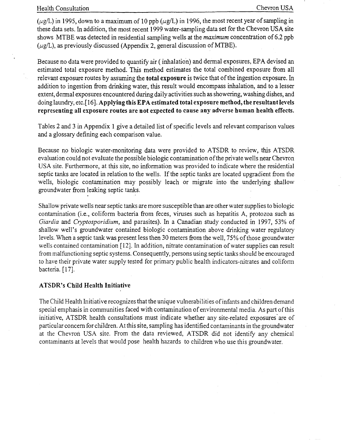( $\mu$ g/L) in 1995, down to a maximum of 10 ppb ( $\mu$ g/L) in 1996, the most recent year of sampling in these data sets. In addition, the most recent 1999 water-sampling data set for the Chevron USA site shows MTBE was detected in residential sampling wells at the *maximum* concentration of 6.2 ppb  $(\mu g/L)$ , as previously discussed (Appendix 2, general discussion of MTBE).

Because no data were provided to quantify air (inhalation) and dermal exposures, EPA devised an estimated total exposure method. This method estimates the total combined exposure from all relevant exposure routes by assuming the **total exposure** is twice that of the ingestion exposure. In addition to ingestion from drinking water, this result would encompass inhalation, and to a lesser extent, dermal exposures encountered during daily activities such as showering, washing dishes, and doing laundry, etc.<sup>[16]</sup>. Applying this EPA estimated total exposure method, the resultant levels representing all exposure routes are not expected to cause any adverse human health effects.

Tables 2 and 3 in Appendix 1 give a detailed list of specific levels and relevant comparison values and a glossary defining each comparison value.

Because no biologic water-monitoring data were provided to ATSDR to review, this ATSDR evaluation could not evaluate the possible biologic contamination of the private wells near Chevron USA site. Furthermore, at this site, no information was provided to indicate where the residential septic tanks are located in relation to the wells. If the septic tanks are located upgradient from the wells, biologic contamination may possibly leach or migrate into the underlying shallow groundwater from leaking septic tanks. . .

Shallow private wells near septic tanks are more susceptible than are other water supplies to biologic contamination (i.e., coliform bacteria from feces, viruses such as hepatitis A, protozoa such as *Giardia* and *Cryptosporidium*, and parasites). In a Canadian study conducted in 1997, 53% of shallow well's groundwater contained biologic contamination above drinking water regulatory levels. When a septic tank was present less then 30 meters from the well, 75% of those groundwater wells contained contamination [12]. In addition, nitrate contamination of water supplies can result from malfunctioning septic systems. Consequently, persons using septic tanks should be encouraged to have their private water supply tested for primary public health indicators-nitrates and coliform bacteria. [17].

### ATSDR's Child Health Initiative

The Child Health Initiative recognizes that the unique vulnerabilities of infants and children demand special emphasis in communities faced with contamination of environmental media. As part ofthis initiative, ATSDR health consultations must indicate whether any site-related exposures are of particular concern for children. At this site, sampling has identified contaminants in the groundwater at the Chevron USA site. From the data reviewed, ATSDR did not identify any chemical contaminants at levels that would pose health hazards to children who use this groundwater.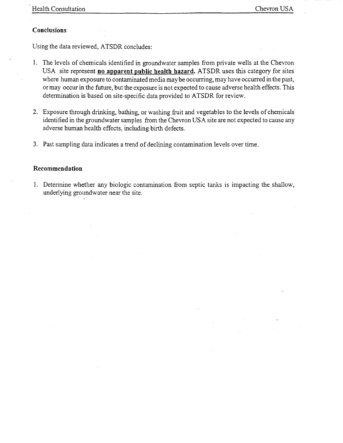### **Conclusions**

Using the data reviewed, ATSDR concludes:

- 1. The levels of chemicals identified in groundwater samples from private wells at the Chevron USA site represent **no apparent public health hazard.** ATSDR uses this category for sites where human exposure to contaminated media may be occurring, may have occurred in the past, ormay occur in the future, but the exposure is not expected to cause adverse health effects. This determination is based on site-specific data provided to ATSDR for review.
- 2. Exposure through drinking, bathing, or washing fruit and vegetables to the levels of chemicals identified in the groundwater samples from the Chevron USA site are not expected to cause any adverse human health effects, including birth defects.
- 3. Past sampling data indicates a trend of declining contamination levels over time.

### **Recommendation**

1. Determine whether any biologic contamination from septic tanks is impacting the shallow, underlying groundwater near the site.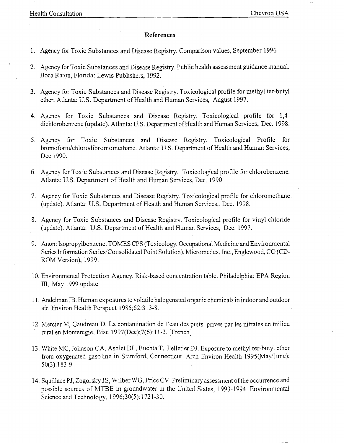### **References**

- 1. Agency for Toxic Substances and Disease Registry. Comparison values, September 1996
- 2. Agency for Toxic Substances and Disease Registry. Public health assessment guidance manual. Boca Raton, Florida: Lewis Publishers, 1992.
- 3. Agency for Toxic Substances and Disease Registry. Toxicological profile for methyl ter-butyl ether. Atlanta: U.S. Department of Health and Human Services, August 1997.
- 4. Agency for Toxic Substances and Disease Registry. Toxicological profile for 1,4 dichlorobenzene (update). Atlanta: U.S. Department of Health and Human Services, Dec. 1998.
- 5. Agency for Toxic Substances and Disease Registry. Toxicological Profile for bromoform/chlorodibromomethane. Atlanta: U.S. Department of Health and Human Services, Dec 1990.
- 6. Agency for Toxic Substances and Disease Registry. Toxicological profile for chlorobenzene. Atlanta: U.S. Department of Health and Human Services, Dec. 1990
- 7. Agency for Toxic Substances and Disease Registry. Toxicological profile for chloromethane (update). Atlanta: U.S. Department of Health and Human Services, Dec. 1998.
- 8. Agency for Toxic Substances and Disease Registry. Toxicological profile for vinyl chloride (update). Atlanta: U.S. Department of Health and Human Services, Dec. 1997.
- 9. Anon: Isopropylbenzene. TOMES CPS (Toxicology, Occupational Medicine and Environmental Series Information Series/Consolidated Point Solution), Micromedex, Inc., Englewood, CO (CD-ROM Version), 1999.
- 10. Environmental Protection Agency. Risk-based concentration table. Philadelphia: EPA Region III, May 1999 update
- 11. Andelman JB. Human exposures to volatile halogenated organic chemicals in indoor and outdoor air. Environ Health Perspect 1985;62:313-8.
- 12. Mercier M, Gaudreau D.La contamination de l'eau des puits prives par les nitrates en milieu rural en Monteregie, Bise 1997(Dec);7(6):11-3. [French]
- 13. White MC, Johnson CA, Ashlet DL, Buchta T, Pelletier DJ. Exposure to methyl ter-butyl ether from oxygenated gasoline in Stamford, Connecticut. Arch Environ Health 1995(May/June); 50(3):183-9.
- 14. Squillace PJ, Zogorsky JS, Wilber WG, Price CV. Preliminary assessment of the occurrence and possible sources of MTBE in groundwater in the United States, 1993-1994. Environmental Science and Technology, 1996;30(5):1721-30.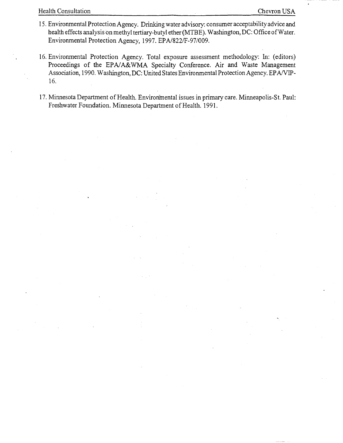- 15. Environmental Protection Agency. Drinking water advisory: consumer acceptability advice and health effects analysis on methyl tertiary-butyl ether (MTBE). Washington, DC: Office of Water. Environmental Protection Agency, 1997. EPA/822/F-97/009.
- 16. Environmental Protection Agency. Total exposure assessment methodology: In: (editors) Proceedings of the EPA/A&WMA Specialty Conference. Air and Waste Management Association, 1990. Washington, DC: United States Environmental Protection Agency. EP A/VIP-16.
- 17. Minnesota Department of Health. Environmental issues in primary care. Minneapolis-St. Paul: Freshwater Foundation. Minnesota Department of Health. 1991.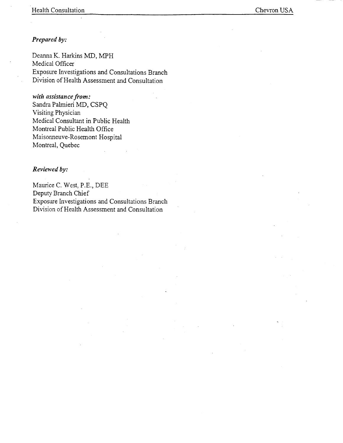### *Prepared by:*

Deanna K. Harkins MD, MPH Medical Officer Exposure Investigations and Consultations Branch Division of Health Assessment and Consultation

### *with assistance from:*

Sandra Palmieri MD, CSPQ Visiting Physician Medical Consultant in Public Health Montreal Public Health Office Maisonneuve-Rosemont Hospital Montreal, Quebec

### *Reviewed by:*

Maurice C. West, P.E., DEE Deputy Branch Chief Exposure Investigations and Consultations Branch Division of Health Assessment and Consultation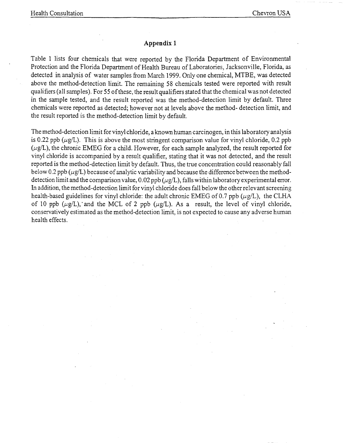### **Appendix 1**

Table 1 lists four chemicals that were reported by the Florida Department of Environmental Protection and the Florida Department of Health Bureau of Laboratories, Jacksonville, Florida, as detected in analysis of water samples from March 1999. Only one chemical, MTBE, was detected above the method-detection limit. The remaining 58 chemicals tested were reported with result qualifiers ( all samples). For 55 ofthese, the result qualifiers stated that the chemical was not detected in the sample tested, and the result reported was the method-detection limit by default. Three chemicals were reported as detected; however not at levels above the method- detection limit, and the result reported is the method-detection limit by default.

The method-detection limit for vinyl chloride, a known human carcinogen, in this laboratory analysis is 0.22 ppb ( $\mu$ g/L). This is above the most stringent comparison value for vinyl chloride, 0.2 ppb  $(\mu$ g/L), the chronic EMEG for a child. However, for each sample analyzed, the result reported for vinyl chloride is accompanied by a result qualifier, stating that it was not detected, and the result reported is the method-detection limit by default. Thus, the true concentration could reasonably fall below 0.2 ppb ( $\mu$ g/L) because of analytic variability and because the difference between the methoddetection limit and the comparison value,  $0.02$  ppb ( $\mu$ g/L), falls within laboratory experimental error. In addition, the method-detection limit for vinyl chloride does fall below the other relevant screening health-based guidelines for vinyl chloride: the adult chronic EMEG of 0.7 ppb ( $\mu$ g/L), the CLHA of 10 ppb ( $\mu$ g/L), and the MCL of 2 ppb ( $\mu$ g/L). As a result, the level of vinyl chloride, conservatively estimated as the method-detection limit, is not expected to cause any adverse human health effects.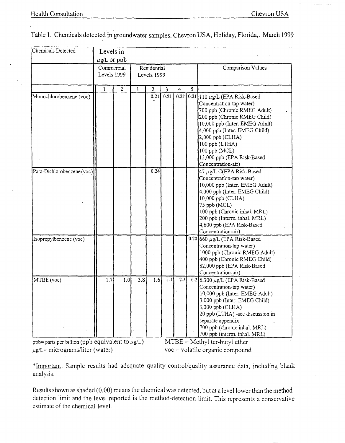| Chemicals Detected                                   | Levels in                 |                |     |                |                            |      |   |                                                                                                                                                                                                                                                                                                                |  |  |
|------------------------------------------------------|---------------------------|----------------|-----|----------------|----------------------------|------|---|----------------------------------------------------------------------------------------------------------------------------------------------------------------------------------------------------------------------------------------------------------------------------------------------------------------|--|--|
|                                                      | $\mu$ g/L or ppb          |                |     |                |                            |      |   |                                                                                                                                                                                                                                                                                                                |  |  |
|                                                      | Commercial<br>Levels 1999 |                |     |                | Residential<br>Levels 1999 |      |   | Comparison Values                                                                                                                                                                                                                                                                                              |  |  |
|                                                      | 1                         | $\overline{2}$ | 1   | $\overline{2}$ | $\overline{3}$             | 4    | 5 |                                                                                                                                                                                                                                                                                                                |  |  |
| Monochlorobenzene (voc)                              |                           |                |     | 0.21           | 0.21                       | 0.21 |   | 0.21 110 $\mu$ g/L (EPA Risk-Based<br>Concentration-tap water)<br>700 ppb (Chronic RMEG Adult)<br>200 ppb (Chronic RMEG Child)<br>10,000 ppb (Inter. EMEG Adult)<br>4,000 ppb (Inter. EMEG Child)<br>2,000 ppb (CLHA)<br>100 ppb (LTHA)<br>$100$ ppb (MCL)<br>13,000 ppb (EPA Risk-Based<br>Concentration-air) |  |  |
| Para-Dichlorobenzene (voc)                           |                           |                |     | 0.24           |                            |      |   | 47 µg/L C(EPA Risk-Based<br>Concentration-tap water)<br>10,000 ppb (Inter. EMEG Adult)<br>4,000 ppb (Inter. EMEG Child)<br>10,000 ppb (CLHA)<br>75 ppb (MCL)<br>100 ppb (Chronic inhal. MRL)<br>200 ppb (Interm. inhal. MRL)<br>4,600 ppb (EPA Risk-Based<br>Concentration-air)                                |  |  |
| Isopropylbenzene (voc)                               |                           |                |     |                |                            |      |   | 0.20 660 $\mu$ g/L (EPA Risk-Based<br>Concentration-tap water)<br>1000 ppb (Chronic RMEG Adult)<br>400 ppb (Chronic RMEG Child)<br>82,000 ppb (EPA Risk-Based<br>Concentration-air)                                                                                                                            |  |  |
| MTBE (voc)                                           | 1.7                       | 1.0            | 3.8 | 1.6            | 5.1                        | 2.3  |   | 6.2 6,300 $\mu$ g/L (EPA Risk-Based<br>Concentration-tap water)<br>10,000 ppb (Inter. EMEG Adult)<br>3,000 ppb (Inter. EMEG Child)<br>3,000 ppb (CLHA)<br>20 ppb (LTHA) -see discussion in<br>separate appendix.<br>700 ppb (chronic inhal. MRL)<br>700 ppb (interm. inhal. MRL)                               |  |  |
| ppb= parts per billion (ppb equivalent to $\mu$ g/L) |                           |                |     |                |                            |      |   | $MTBE = Methyl$ ter-butyl ether                                                                                                                                                                                                                                                                                |  |  |
| $\mu$ g/L= micrograms/liter (water)                  |                           |                |     |                |                            |      |   | voc = volatile organic compound                                                                                                                                                                                                                                                                                |  |  |

Table 1. Chemicals detected in groundwater samples. Chevron USA, Holiday, Florida,. March 1999

\*Important: Sample results had adequate quality controVquality assurance data, including blank analysis.

Results shown as shaded (0.00) means the chemical was detected, but at a level lower than the methoddetection limit and the level reported is the method-detection limit. This represents a conservative estimate of the chemical level.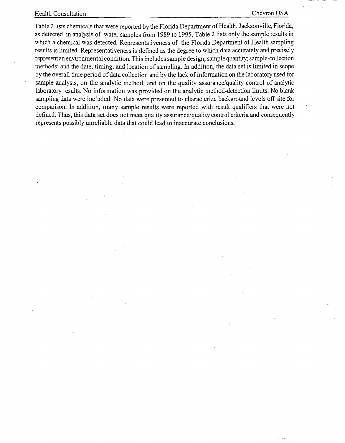### Health Consultation Chevron USA

Table 2 lists chemicals that were reported by the Florida Department of Health, Jacksonville, Florida, as detected in analysis of water samples from 1989 to 1995. Table 2 lists only the sample results in which a chemical was detected. Representativeness of the Florida Department of Health sampling results is limited. Representativeness is defined as the degree to which data accurately and precisely represent an environmental condition. This includes sample design; sample quantity; sample-collection methods; and the date, timing, and location of sampling. In addition, the data set is limited in scope by the overall time period of data collection and by the lack of information on the laboratory used for sample analysis, on the analytic method, and on the quality assurance/quality control of analytic laboratory results. No information was provided on the analytic method-detection limits. No blank sampling data were included. No data were presented to characterize background levels off site for comparison. In addition, many sample results were reported with result qualifiers that were not defined. Thus, this data set does not meet quality assurance/quality control criteria and consequently represents possibly unreliable data that could lead to inaccurate conclusions.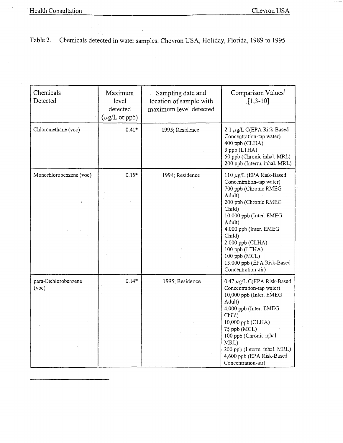# Table 2. Chemicals detected in water samples. Chevron USA, Holiday, Florida, 1989 to 1995

| Chemicals<br>Detected         | Maximum<br>level<br>detected<br>$(\mu g/L \text{ or } \text{ppb})$ | Sampling date and<br>location of sample with<br>maximum level detected | Comparison Values <sup>1</sup><br>$[1,3-10]$                                                                                                                                                                                                                                                                        |
|-------------------------------|--------------------------------------------------------------------|------------------------------------------------------------------------|---------------------------------------------------------------------------------------------------------------------------------------------------------------------------------------------------------------------------------------------------------------------------------------------------------------------|
| Chloromethane (voc)           | $0.41*$                                                            | 1995; Residence                                                        | 2.1 $\mu$ g/L C(EPA Risk-Based<br>Concentration-tap water)<br>400 ppb (CLHA)<br>3 ppb (LTHA)<br>50 ppb (Chronic inhal. MRL)<br>200 ppb (Interm. inhal. MRL)                                                                                                                                                         |
| Monochlorobenzene (voc)       | $0.15*$                                                            | 1994; Residence                                                        | 110 $\mu$ g/L (EPA Risk-Based<br>Concentration-tap water)<br>700 ppb (Chronic RMEG<br>Adult)<br>200 ppb (Chronic RMEG<br>Child)<br>10,000 ppb (Inter. EMEG<br>Adult)<br>4,000 ppb (Inter. EMEG<br>Child)<br>2,000 ppb (CLHA)<br>100 ppb (LTHA)<br>100 ppb (MCL)<br>13,000 ppb (EPA Risk-Based<br>Concentration-air) |
| para-Dichlorobenzene<br>(voc) | $0.14*$                                                            | 1995; Residence                                                        | 0.47 $\mu$ g/L C(EPA Risk-Based<br>Concentration-tap water)<br>10,000 ppb (Inter. EMEG<br>Adult)<br>4,000 ppb (Inter. EMEG<br>Child)<br>10,000 ppb (CLHA) -<br>75 ppb (MCL)<br>100 ppb (Chronic inhal.<br>MRL)<br>200 ppb (Interm. inhal. MRL)<br>4,600 ppb (EPA Risk-Based<br>Concentration-air)                   |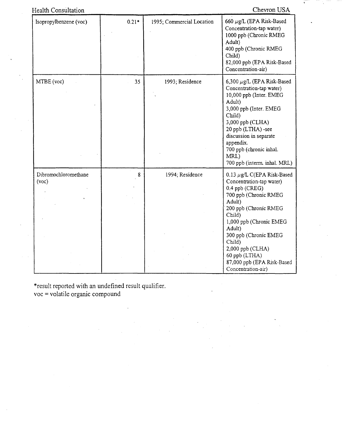| <b>Health Consultation</b> |
|----------------------------|
|                            |

Chevron USA

| Isopropylbenzene (voc)        | $0.21*$ | 1995; Commercial Location | 660 $\mu$ g/L (EPA Risk-Based<br>Concentration-tap water)<br>1000 ppb (Chronic RMEG<br>Adult)<br>400 ppb (Chronic RMEG<br>Child)<br>82,000 ppb (EPA Risk-Based<br>Concentration-air)                                                                                                                                 |
|-------------------------------|---------|---------------------------|----------------------------------------------------------------------------------------------------------------------------------------------------------------------------------------------------------------------------------------------------------------------------------------------------------------------|
| MTBE (voc)                    | 35      | 1993; Residence           | 6,300 $\mu$ g/L (EPA Risk-Based<br>Concentration-tap water)<br>10,000 ppb (Inter. EMEG<br>Adult)<br>3,000 ppb (Inter. EMEG<br>Child)<br>3,000 ppb (CLHA)<br>20 ppb (LTHA) -see<br>discussion in separate<br>appendix.<br>700 ppb (chronic inhal.<br>MRL)<br>700 ppb (interm. inhal. MRL)                             |
| Dibromochloromethane<br>(voc) | 8       | 1994; Residence           | 0.13 $\mu$ g/L C(EPA Risk-Based<br>Concentration-tap water)<br>0.4 ppb (CREG)<br>700 ppb (Chronic RMEG<br>Adult)<br>200 ppb (Chronic RMEG<br>Child)<br>1,000 ppb (Chronic EMEG<br>Adult)<br>300 ppb (Chronic EMEG<br>Child)<br>2,000 ppb (CLHA)<br>60 ppb (LTHA)<br>87,000 ppb (EPA Risk-Based<br>Concentration-air) |

\*result reported with an undefined result qualifier. voc = volatile organic compound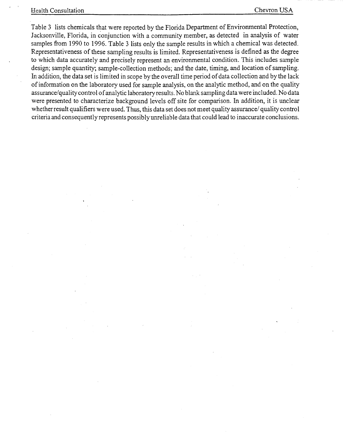Table 3 lists chemicals that were reported by the Florida Department of Environmental Protection, Jacksonville, Florida, in conjunction with a community member, as detected in analysis of water samples from 1990 to 1996. Table 3 lists only the sample results in which a chemical was detected. Representativeness of these sampling results is limited. Representativeness is defined as the degree to which data accurately and precisely represent an environmental condition. This includes sample design; sample quantity; sample-collection methods; and the date, timing, and location of sampling. In addition, the data set is limited in scope by the overall time period of data collection and by the lack of information on the laboratory used for sample analysis, on the analytic method, and on the quality assurance/quality control of analytic laboratory results. No blank sampling data were included. No data were presented to characterize background levels off site for comparison. In addition, it is unclear whether result qualifiers were used. Thus, this data set does not meet quality assurance/ quality control criteria and consequently represents possibly unreliable data that could lead to inaccurate conclusions.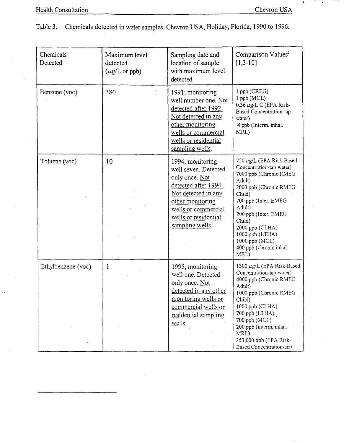|  | Table 3. Chemicals detected in water samples. Chevron USA, Holiday, Florida, 1990 to 1996. |  |  |  |  |  |  |
|--|--------------------------------------------------------------------------------------------|--|--|--|--|--|--|
|--|--------------------------------------------------------------------------------------------|--|--|--|--|--|--|

| Chemicals<br>Detected | Maximum level<br>detected<br>$(\mu g/L \text{ or } pb)$ | Sampling date and<br>location of sample<br>with maximum level<br>detected                                                                                                                       | Comparison Values <sup>2</sup><br>$[1,3-10]$                                                                                                                                                                                                                                                |
|-----------------------|---------------------------------------------------------|-------------------------------------------------------------------------------------------------------------------------------------------------------------------------------------------------|---------------------------------------------------------------------------------------------------------------------------------------------------------------------------------------------------------------------------------------------------------------------------------------------|
| Benzene (voc)         | 380                                                     | 1991; monitoring<br>well number one. Not<br>detected after 1992.<br>Not detected in any<br>other monitoring<br>wells or commercial<br>wells or residential<br>sampling wells.                   | 1 ppb (CREG)<br>$1$ ppb (MCL)<br>0.36 $\mu$ g/L C (EPA Risk-<br>Based Concentration-tap<br>water)<br>4 ppb (Interm. inhal.<br>MRL)                                                                                                                                                          |
| Toluene (voc)         | 10                                                      | 1994; monitoring<br>well seven. Detected<br>only once. Not<br>detected after 1994.<br>Not detected in any<br>other monitoring<br>wells or commercial<br>wells or residential<br>sampling wells. | 750 µg/L (EPA Risk-Based<br>Concentration-tap water)<br>7000 ppb (Chronic RMEG<br>Adult)<br>2000 ppb (Chronic RMEG<br>Child)<br>700 ppb (Inter. EMEG<br>Adult)<br>200 ppb (Inter. EMEG<br>Child)<br>2000 ppb (CLHA)<br>1000 ppb (LTHA)<br>1000 ppb (MCL)<br>400 ppb (chronic inhal.<br>MRL) |
| Ethylbenzene (voc)    | 1                                                       | 1995; monitoring<br>well one. Detected<br>only once. Not<br>detected in any other<br>monitoring wells or<br>commercial wells or<br>residential sampling<br>wells.                               | 1300 $\mu$ g/L (EPA Risk-Based<br>Concentration-tap water)<br>4000 ppb (Chronic RMEG<br>Adult)<br>1000 ppb (Chronic RMEG<br>Child)<br>1000 ppb (CLHA)<br>700 ppb (LTHA)<br>700 ppb (MCL)<br>200 ppb (interm. inhal.<br>MRL)<br>253,000 ppb (EPA Risk-<br>Based Concentration-air)           |

ä,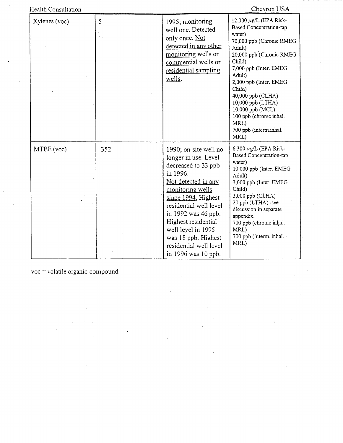| <b>Health Consultation</b> |     |                                                                                                                                                                                                                                                                                                                          | Chevron USA                                                                                                                                                                                                                                                                                                                                                    |
|----------------------------|-----|--------------------------------------------------------------------------------------------------------------------------------------------------------------------------------------------------------------------------------------------------------------------------------------------------------------------------|----------------------------------------------------------------------------------------------------------------------------------------------------------------------------------------------------------------------------------------------------------------------------------------------------------------------------------------------------------------|
| Xylenes (voc)              | 5   | 1995; monitoring<br>well one. Detected<br>only once. Not<br>detected in any other<br>monitoring wells or<br>commercial wells or<br>residential sampling<br>wells.                                                                                                                                                        | 12,000 $\mu$ g/L (EPA Risk-<br><b>Based Concentration-tap</b><br>water)<br>70,000 ppb (Chronic RMEG<br>Adult)<br>20,000 ppb (Chronic RMEG<br>Child)<br>7,000 ppb (Inter. EMEG<br>Adult)<br>2,000 ppb (Inter. EMEG<br>Child)<br>40,000 ppb (CLHA)<br>10,000 ppb (LTHA)<br>10,000 ppb (MCL)<br>100 ppb (chronic inhal.<br>MRL)<br>700 ppb (interm.inhal.<br>MRL) |
| MTBE (voc)                 | 352 | 1990; on-site well no<br>longer in use. Level<br>decreased to 33 ppb<br>in 1996.<br>Not detected in any<br>monitoring wells<br>since 1994. Highest<br>residential well level<br>in 1992 was 46 ppb.<br>Highest residential<br>well level in 1995<br>was 18 ppb. Highest<br>residential well level<br>in 1996 was 10 ppb. | 6,300 $\mu$ g/L (EPA Risk-<br><b>Based Concentration-tap</b><br>water)<br>10,000 ppb (Inter. EMEG<br>Adult)<br>3,000 ppb (Inter. EMEG<br>Child)<br>3,000 ppb (CLHA)<br>20 ppb (LTHA) -see<br>discussion in separate<br>appendix.<br>700 ppb (chronic inhal.<br>MRL)<br>700 ppb (interm. inhal.<br>MRL)                                                         |

voc = volatile organic compound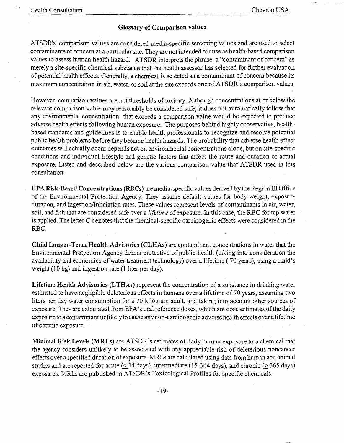### Glossary of Comparison values

ATSDR's comparison values are considered media-specific screening values and are used to select contaminants of concern at a particular site. They are not intended for use as health-based comparison values to assess human health hazard. ATSDR interprets the phrase, a "contaminant of concern" as merely a site-specific chemical substance that the health assessor has selected for further evaluation of potential health effects. Generally, a chemical is selected as a contaminant of concern because its maximum concentration in air, water, or soil at the site exceeds one of ATSDR's comparison values.

However, comparison values are not thresholds of toxicity. Although concentrations at or below the relevant comparison value may reasonably be considered safe, it does not automatically follow that any environmental concentration that exceeds a comparison value would be expected to produce adverse health effects following human exposure. The purposes behind highly conservative, healthbased standards and guidelines is to enable health professionals to recognize and resolve potential public health problems before they became health hazards. The probability that adverse health effect outcomes will actually occur depends not on environmental concentrations alone, but on site-specific conditions and individual lifestyle and genetic factors that affect the route and duration of actual exposure. Listed and described below are the various comparison value that ATSDR used in this consultation.

EPA Risk-Based Concentrations (RBCs) are media-specific values derived by the Region III Office of the Environmental Protection Agency. They assume default values for body weight, exposure duration, and ingestion/inhalation rates. These values represent levels of contaminants in air, water, soil, and fish that are considered safe over a *lifetime* of exposure. In this case, the RBC for tap water is applied. The letter C denotes that the chemical-specific carcinogenic effects were considered in the RBC.

Child Longer-Term Health Advisories (CLHAs) are contaminant concentrations in water that the Environmental Protection Agency deems protective of public health (taking into consideration the availability and economics of water treatment technology) over a lifetime ( 70 years), using a child's weight (10 kg) and ingestion rate (1 liter per day).

Lifetime Health Advisories (LTHAs) represent the concentration of a substance in drinking water estimated to have negligible deleterious effects in humans over a lifetime of 70 years, assuming two liters per day water consumption for a 70 kilogram adult, and taking into account other sources of exposure. They are calculated from EPA's oral reference doses, which are dose estimates of the daily exposure to a contaminant unlikely to cause any non-carcinogenic adverse health effects over a lifetime of chronic exposure.

Minimal Risk Levels (MRLs) are ATSDR's estimates of daily human exposure to a chemical that the agency considers unlikely to be associated with any appreciable risk of deleterious noncancer effects over a specified duration of exposure. MRLs are calculated using data from human and animal studies and are reported for acute ( $\leq$ 14 days), intermediate (15-364 days), and chronic ( $\geq$  365 days) exposures. MRLs are published in ATSDR's Toxicological Profiles for specific chemicals.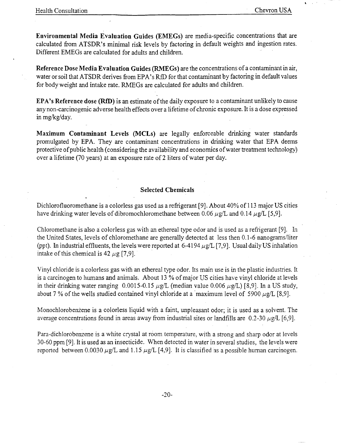l "

Environmental Media Evaluation Guides (EMEGs) are media-specific concentrations that are calculated from ATSDR's minimal risk levels by factoring in default weights and ingestion rates. Different EMEGs are calculated for adults and children.

Reference Dose Media Evaluation Guides (RMEGs) are the concentrations of a contaminant in air, water or soil that ATSDR derives from EPA's RfD for that contaminant by factoring in default values for body weight and intake rate. RMEGs are calculated for adults and children.

EPA's Reference dose (RfD) is an estimate of the daily exposure to a contaminant unlikely to cause any non-carcinogenic adverse health effects over a lifetime of chronic exposure. It is a dose expressed in mg/kg/day.

Maximum Contaminant Levels (MCLs) are legally enforceable drinking water standards promUlgated by EPA. They are contaminant concentrations in drinking water that EPA deems protective of public health (considering the availability and economics of water treatment technology) over a lifetime (70 years) at an exposure rate of 2 liters of water per day.

### Selected Chemicals

Dichlorofluoromethane is a colorless gas used as a refrigerant  $[9]$ . About  $40\%$  of 113 major US cities have drinking water levels of dibromochloromethane between 0.06  $\mu$ g/L and 0.14  $\mu$ g/L [5,9].

Chloromethane is also a colorless gas with an ethereal type odor and is used as a refrigerant [9]. In the United States, levels of chloromethane are generally detected at less then 0.1-6 nanograms/liter (ppt). In industrial effluents, the levels were reported at  $6-4194 \mu g/L$  [7,9]. Usual daily US inhalation intake of this chemical is  $42 \mu g$  [7,9].

Vinyl chloride is a colorless gas with an ethereal type odor. Its main use is in the plastic industries. It is a carcinogen to humans and animals. About 13 % of major US cities have vinyl chloride at levels in their drinking water ranging 0.0015-0.15  $\mu$ g/L (median value 0.006  $\mu$ g/L) [8,9]. In a US study, about 7 % of the wells studied contained vinyl chloride at a maximum level of 5900  $\mu$ g/L [8,9].

Monochlorobenzene is a colorless liquid with a faint, unpleasant odor; it is used as a solvent. The average concentrations found in areas away from industrial sites or landfills are  $0.2$ -30  $\mu$ g/L [6,9].

Para-dichlorobenzene is a white crystal at room temperature, with a strong and sharp odor at levels 30-60 ppm [9]. It is used as an insecticide. When detected in water in several studies, the levels were reported between 0.0030  $\mu$ g/L and 1.15  $\mu$ g/L [4,9]. It is classified as a possible human carcinogen.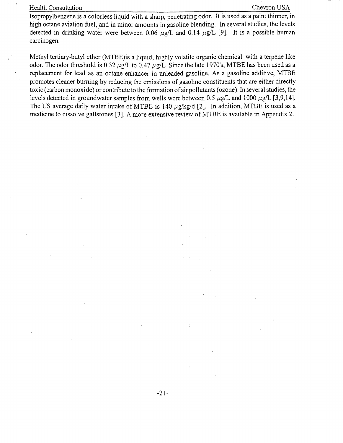### Health Consultation Chevron USA

Isopropylbenzene is a colorless liquid with a sharp, penetrating odor. It is used as a paint thinner, in high octane aviation fuel, and in minor amounts in gasoline blending. In several studies, the levels detected in drinking water were between 0.06  $\mu$ g/L and 0.14  $\mu$ g/L [9]. It is a possible human carcinogen.

Methyl tertiary-butyl ether (MTBE)is a liquid, highly volatile organic chemical with a terpene like odor. The odor threshold is 0.32  $\mu$ g/L to 0.47  $\mu$ g/L. Since the late 1970's, MTBE has been used as a replacement for lead as an octane enhancer in unleaded gasoline. As a gasoline additive, MTBE promotes cleaner burning by reducing the emissions of gasoline constituents that are either directly toxic (carbon monoxide) or contribute to the formation of air pollutants (ozone). In several studies, the levels detected in groundwater samples from wells were between 0.5  $\mu$ g/L and 1000  $\mu$ g/L [3,9,14]. The US average daily water intake of MTBE is 140  $\mu$ g/kg/d [2]. In addition, MTBE is used as a medicine to dissolve gallstones [3]. A more extensive review of MTBE is available in Appendix 2.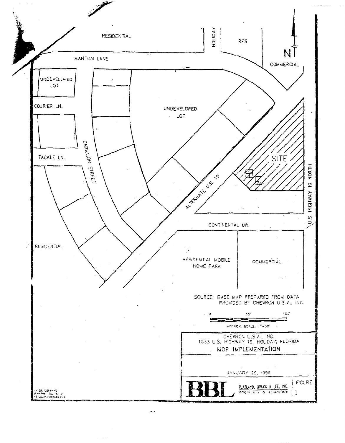

 $\cdots$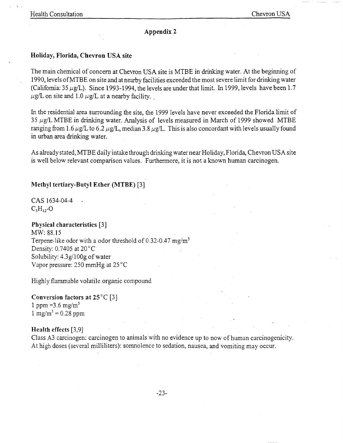I ,

### Appendix 2

### Holiday, Florida, Chevron USA site

The main chemical of concern at Chevron USA site is MTBE in drinking water. At the beginning of 1990, levels ofMTBE on site and at nearby facilities exceeded the most severe limit for drinking water (California:  $35 \mu g/L$ ). Since 1993-1994, the levels are under that limit. In 1999, levels have been 1.7  $\mu$ g/L on site and 1.0  $\mu$ g/L at a nearby facility.

In the residential area surrounding the site, the 1999 levels have never exceeded the Florida limit of 35  $\mu$ g/L MTBE in drinking water. Analysis of levels measured in March of 1999 showed MTBE ranging from 1.6  $\mu$ g/L to 6.2  $\mu$ g/L, median 3.8  $\mu$ g/L. This is also concordant with levels usually found in urban area drinking water.

As already stated, MTBE daily intake through drinking water near Holiday, Florida, Chevron USA site is well below relevant comparison values. Furthermore, it is not a known human carcinogen.

### Methyl tertiary-Butyl Ether (MTBE) [3]

CAS 1634-04-4  $C<sub>s</sub>H<sub>12</sub>$ -O

### Physical characteristics [3]

MW: 88.15 Terpene-like odor with a odor threshold of  $0.32$ -0.47 mg/m<sup>3</sup> Density: 0.7405 at 20°C Solubility:  $4.3 \frac{\varrho}{100 \varrho}$  of water Vapor pressure: 250 mmHg at 25 °C

Highly flammable volatile organic compound

### Conversion factors at  $25^{\circ}$ C [3] 1 ppm = 3.6 mg/m<sup>3</sup> 1 mg/m<sup>3</sup> = 0.28 ppm

### Health effects [3,9]

Class A3 carcinogen: carcinogen to animals with no evidence up to now of human carcinogenicity. At high doses (several milliliters): somnolence to sedation, nausea, and vomiting may occur.